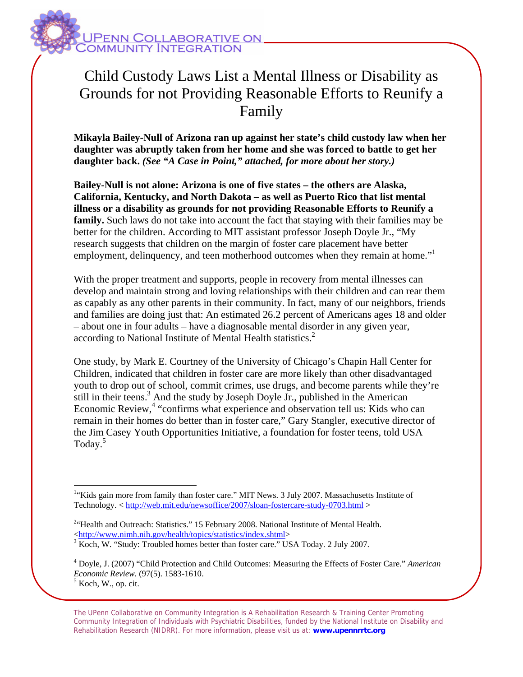

## Child Custody Laws List a Mental Illness or Disability as Grounds for not Providing Reasonable Efforts to Reunify a Family

**Mikayla Bailey-Null of Arizona ran up against her state's child custody law when her daughter was abruptly taken from her home and she was forced to battle to get her daughter back.** *(See "A Case in Point," attached, for more about her story.)* 

**Bailey-Null is not alone: Arizona is one of five states – the others are Alaska, California, Kentucky, and North Dakota – as well as Puerto Rico that list mental illness or a disability as grounds for not providing Reasonable Efforts to Reunify a family.** Such laws do not take into account the fact that staying with their families may be better for the children. According to MIT assistant professor Joseph Doyle Jr., "My research suggests that children on the margin of foster care placement have better employment, delinquency, and teen motherhood outcomes when they remain at home."<sup>1</sup>

With the proper treatment and supports, people in recovery from mental illnesses can develop and maintain strong and loving relationships with their children and can rear them as capably as any other parents in their community. In fact, many of our neighbors, friends and families are doing just that: An estimated 26.2 percent of Americans ages 18 and older – about one in four adults – have a diagnosable mental disorder in any given year, according to National Institute of Mental Health statistics.<sup>2</sup>

One study, by Mark E. Courtney of the University of Chicago's Chapin Hall Center for Children, indicated that children in foster care are more likely than other disadvantaged youth to drop out of school, commit crimes, use drugs, and become parents while they're still in their teens.<sup>3</sup> And the study by Joseph Doyle Jr., published in the American Economic Review,<sup>4</sup> "confirms what experience and observation tell us: Kids who can remain in their homes do better than in foster care," Gary Stangler, executive director of the Jim Casey Youth Opportunities Initiative, a foundation for foster teens, told USA Today.5

 $\overline{a}$ 

The UPenn Collaborative on Community Integration is A Rehabilitation Research & Training Center Promoting Community Integration of Individuals with Psychiatric Disabilities, funded by the National Institute on Disability and Rehabilitation Research (NIDRR). For more information, please visit us at: **www.upennrrtc.org**

<sup>&</sup>lt;sup>1</sup>"Kids gain more from family than foster care." MIT News. 3 July 2007. Massachusetts Institute of Technology. < http://web.mit.edu/newsoffice/2007/sloan-fostercare-study-0703.html >

<sup>&</sup>lt;sup>2</sup>"Health and Outreach: Statistics." 15 February 2008. National Institute of Mental Health. <http://www.nimh.nih.gov/health/topics/statistics/index.shtml> 3

<sup>&</sup>lt;sup>3</sup> Koch, W. "Study: Troubled homes better than foster care." USA Today. 2 July 2007.

<sup>4</sup> Doyle, J. (2007) "Child Protection and Child Outcomes: Measuring the Effects of Foster Care." *American Economic Review.* (97(5). 1583-1610.  $<sup>5</sup>$  Koch, W., op. cit.</sup>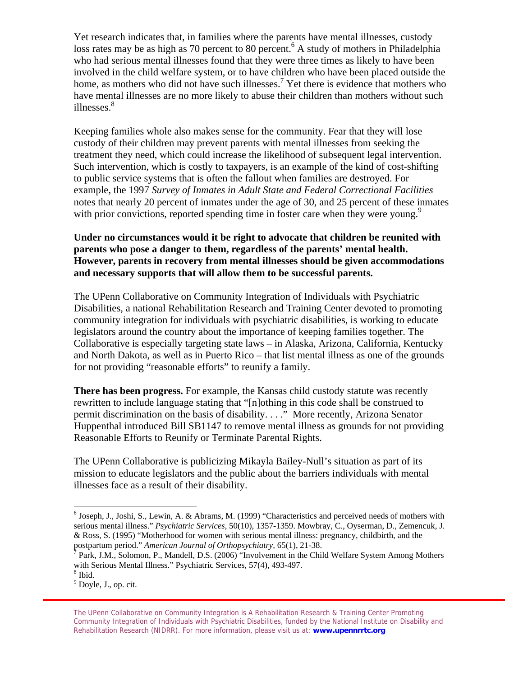Yet research indicates that, in families where the parents have mental illnesses, custody loss rates may be as high as 70 percent to 80 percent.<sup>6</sup> A study of mothers in Philadelphia who had serious mental illnesses found that they were three times as likely to have been involved in the child welfare system, or to have children who have been placed outside the home, as mothers who did not have such illnesses.<sup>7</sup> Yet there is evidence that mothers who have mental illnesses are no more likely to abuse their children than mothers without such illnesses.<sup>8</sup>

Keeping families whole also makes sense for the community. Fear that they will lose custody of their children may prevent parents with mental illnesses from seeking the treatment they need, which could increase the likelihood of subsequent legal intervention. Such intervention, which is costly to taxpayers, is an example of the kind of cost-shifting to public service systems that is often the fallout when families are destroyed. For example, the 1997 *Survey of Inmates in Adult State and Federal Correctional Facilities* notes that nearly 20 percent of inmates under the age of 30, and 25 percent of these inmates with prior convictions, reported spending time in foster care when they were young.<sup>9</sup>

## **Under no circumstances would it be right to advocate that children be reunited with parents who pose a danger to them, regardless of the parents' mental health. However, parents in recovery from mental illnesses should be given accommodations and necessary supports that will allow them to be successful parents.**

The UPenn Collaborative on Community Integration of Individuals with Psychiatric Disabilities, a national Rehabilitation Research and Training Center devoted to promoting community integration for individuals with psychiatric disabilities, is working to educate legislators around the country about the importance of keeping families together. The Collaborative is especially targeting state laws – in Alaska, Arizona, California, Kentucky and North Dakota, as well as in Puerto Rico – that list mental illness as one of the grounds for not providing "reasonable efforts" to reunify a family.

**There has been progress.** For example, the Kansas child custody statute was recently rewritten to include language stating that "[n]othing in this code shall be construed to permit discrimination on the basis of disability. . . ." More recently, Arizona Senator Huppenthal introduced Bill SB1147 to remove mental illness as grounds for not providing Reasonable Efforts to Reunify or Terminate Parental Rights.

The UPenn Collaborative is publicizing Mikayla Bailey-Null's situation as part of its mission to educate legislators and the public about the barriers individuals with mental illnesses face as a result of their disability.

 $\overline{a}$ 

<sup>&</sup>lt;sup>6</sup> Joseph, J., Joshi, S., Lewin, A. & Abrams, M. (1999) "Characteristics and perceived needs of mothers with serious mental illness." *Psychiatric Services,* 50(10), 1357-1359. Mowbray, C., Oyserman, D., Zemencuk, J. & Ross, S. (1995) "Motherhood for women with serious mental illness: pregnancy, childbirth, and the

postpartum period." *American Journal of Orthopsychiatry,* 65(1), 21-38.<br><sup>7</sup> Park, J.M., Solomon, P., Mandell, D.S. (2006) "Involvement in the Child Welfare System Among Mothers with Serious Mental Illness." Psychiatric Services, 57(4), 493-497.

<sup>8</sup> Ibid.

<sup>&</sup>lt;sup>9</sup> Doyle, J., op. cit.

The UPenn Collaborative on Community Integration is A Rehabilitation Research & Training Center Promoting Community Integration of Individuals with Psychiatric Disabilities, funded by the National Institute on Disability and Rehabilitation Research (NIDRR). For more information, please visit us at: **www.upennrrtc.org**